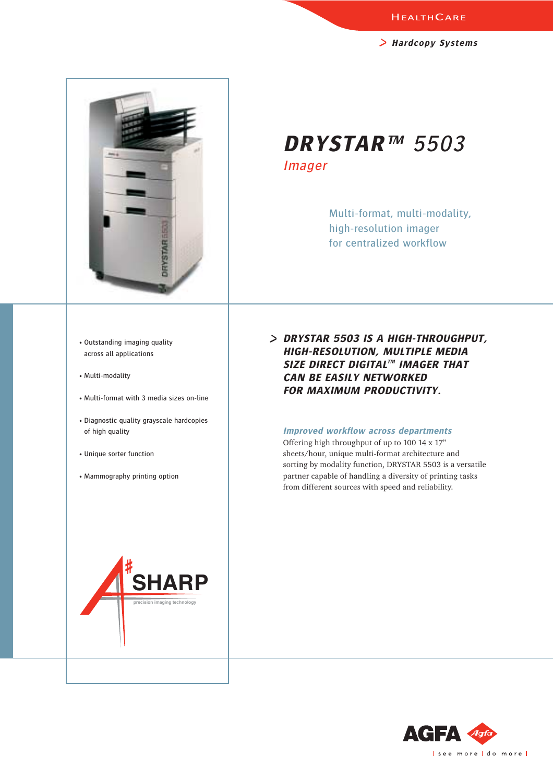**Hardcopy Systems**



**DRYSTAR™** 5503 Imager

> Multi-format, multi-modality, high-resolution imager for centralized workflow

- Outstanding imaging quality across all applications
- Multi-modality
- Multi-format with 3 media sizes on-line
- Diagnostic quality grayscale hardcopies of high quality
- Unique sorter function
- Mammography printing option

**DRYSTAR 5503 IS A HIGH-THROUGHPUT, HIGH-RESOLUTION, MULTIPLE MEDIA SIZE DIRECT DIGITALTM IMAGER THAT CAN BE EASILY NETWORKED FOR MAXIMUM PRODUCTIVITY.** 

## **Improved workflow across departments**

Offering high throughput of up to 100 14 x 17" sheets/hour, unique multi-format architecture and sorting by modality function, DRYSTAR 5503 is a versatile partner capable of handling a diversity of printing tasks from different sources with speed and reliability.



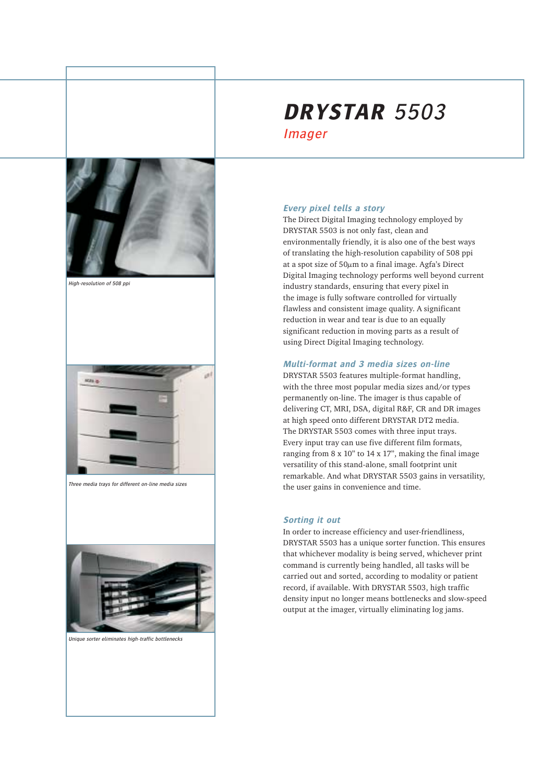

High-resolution of 508 ppi



Three media trays for different on-line media sizes



Unique sorter eliminates high-traffic bottlenecks

# **DRYSTAR** 5503 Imager

## **Every pixel tells a story**

The Direct Digital Imaging technology employed by DRYSTAR 5503 is not only fast, clean and environmentally friendly, it is also one of the best ways of translating the high-resolution capability of 508 ppi at a spot size of  $50\mu m$  to a final image. Agfa's Direct Digital Imaging technology performs well beyond current industry standards, ensuring that every pixel in the image is fully software controlled for virtually flawless and consistent image quality. A significant reduction in wear and tear is due to an equally significant reduction in moving parts as a result of using Direct Digital Imaging technology.

# **Multi-format and 3 media sizes on-line**

DRYSTAR 5503 features multiple-format handling, with the three most popular media sizes and/or types permanently on-line. The imager is thus capable of delivering CT, MRI, DSA, digital R&F, CR and DR images at high speed onto different DRYSTAR DT2 media. The DRYSTAR 5503 comes with three input trays. Every input tray can use five different film formats, ranging from 8 x 10" to 14 x 17", making the final image versatility of this stand-alone, small footprint unit remarkable. And what DRYSTAR 5503 gains in versatility, the user gains in convenience and time.

# **Sorting it out**

In order to increase efficiency and user-friendliness, DRYSTAR 5503 has a unique sorter function. This ensures that whichever modality is being served, whichever print command is currently being handled, all tasks will be carried out and sorted, according to modality or patient record, if available. With DRYSTAR 5503, high traffic density input no longer means bottlenecks and slow-speed output at the imager, virtually eliminating log jams.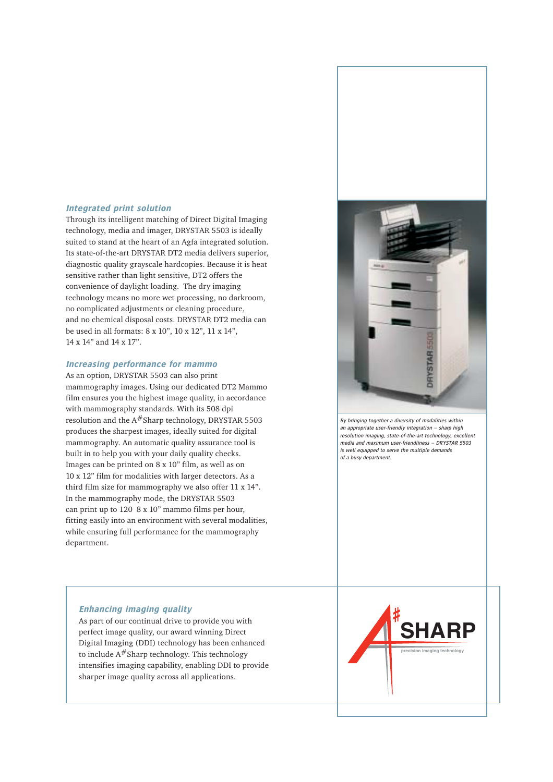# **Integrated print solution**

Through its intelligent matching of Direct Digital Imaging technology, media and imager, DRYSTAR 5503 is ideally suited to stand at the heart of an Agfa integrated solution. Its state-of-the-art DRYSTAR DT2 media delivers superior, diagnostic quality grayscale hardcopies. Because it is heat sensitive rather than light sensitive, DT2 offers the convenience of daylight loading. The dry imaging technology means no more wet processing, no darkroom, no complicated adjustments or cleaning procedure, and no chemical disposal costs. DRYSTAR DT2 media can be used in all formats: 8 x 10", 10 x 12", 11 x 14", 14 x 14" and 14 x 17".

# **Increasing performance for mammo**

As an option, DRYSTAR 5503 can also print mammography images. Using our dedicated DT2 Mammo film ensures you the highest image quality, in accordance with mammography standards. With its 508 dpi resolution and the  $A#$ Sharp technology, DRYSTAR 5503 produces the sharpest images, ideally suited for digital mammography. An automatic quality assurance tool is built in to help you with your daily quality checks. Images can be printed on 8 x 10" film, as well as on 10 x 12" film for modalities with larger detectors. As a third film size for mammography we also offer 11 x 14". In the mammography mode, the DRYSTAR 5503 can print up to 120 8 x 10" mammo films per hour, fitting easily into an environment with several modalities, while ensuring full performance for the mammography department.



By bringing together a diversity of modalities within an appropriate user-friendly integration – sharp high resolution imaging, state-of-the-art technology, excellent media and maximum user-friendliness – DRYSTAR 5503 is well equipped to serve the multiple demands of a busy department.

# **Enhancing imaging quality**

As part of our continual drive to provide you with perfect image quality, our award winning Direct Digital Imaging (DDI) technology has been enhanced to include  $A#$ Sharp technology. This technology intensifies imaging capability, enabling DDI to provide sharper image quality across all applications.